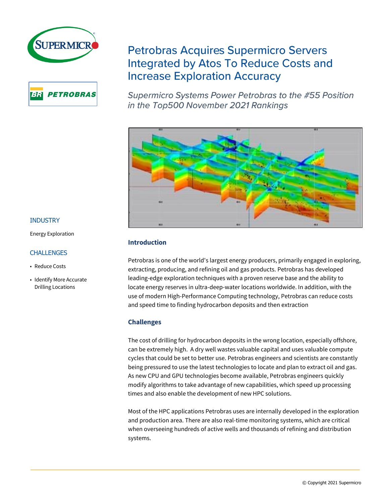



# **Petrobras Acquires Supermicro Servers Integrated by Atos To Reduce Costs and Increase Exploration Accuracy**

Supermicro Systems Power Petrobras to the #55 Position in the Top500 November 2021 Rankings



# **Introduction**

Petrobras is one of the world's largest energy producers, primarily engaged in exploring, extracting, producing, and refining oil and gas products. Petrobras has developed leading-edge exploration techniques with a proven reserve base and the ability to locate energy reserves in ultra-deep-water locations worldwide. In addition, with the use of modern High-Performance Computing technology, Petrobras can reduce costs and speed time to finding hydrocarbon deposits and then extraction

# **Challenges**

The cost of drilling for hydrocarbon deposits in the wrong location, especially offshore, can be extremely high. A dry well wastes valuable capital and uses valuable compute cycles that could be set to better use. Petrobras engineers and scientists are constantly being pressured to use the latest technologies to locate and plan to extract oil and gas. As new CPU and GPU technologies become available, Petrobras engineers quickly modify algorithms to take advantage of new capabilities, which speed up processing times and also enable the development of new HPC solutions.

Most of the HPC applications Petrobras uses are internally developed in the exploration and production area. There are also real-time monitoring systems, which are critical when overseeing hundreds of active wells and thousands of refining and distribution systems.

## INDUSTRY

Energy Exploration

## **CHALLENGES**

- Reduce Costs
- Identify More Accurate Drilling Locations